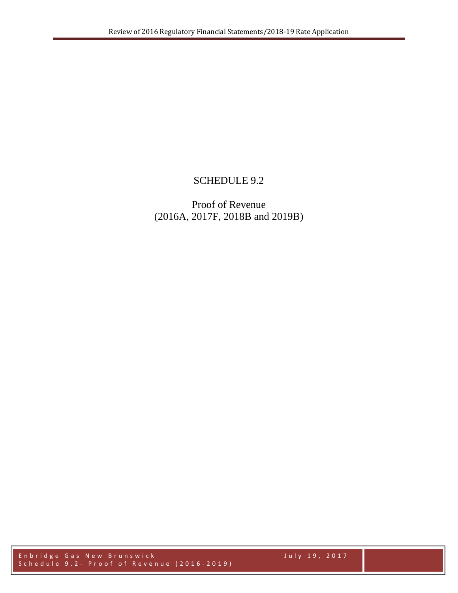## SCHEDULE 9.2

Proof of Revenue (2016A, 2017F, 2018B and 2019B)

Enbridge Gas New Brunswick July 19, 2017 Schedule 9 . 2 - Proof of Revenue (201 6 - 201 9 )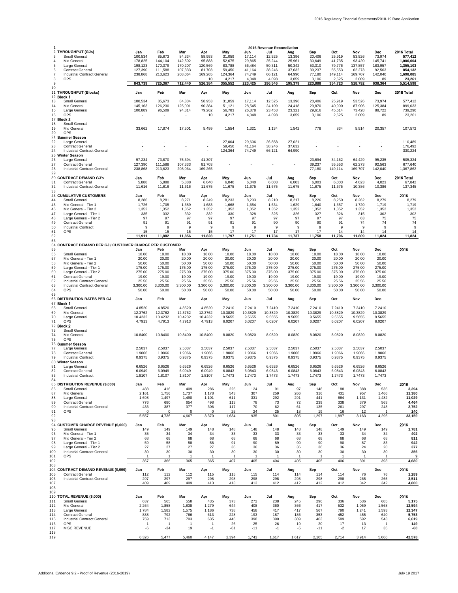|                   |                                                       |                    |                          |                   |                          |                          |                          |                  | <b>2016 Revenue Reconcilation</b> |                  |                  |                          |                   |                    |
|-------------------|-------------------------------------------------------|--------------------|--------------------------|-------------------|--------------------------|--------------------------|--------------------------|------------------|-----------------------------------|------------------|------------------|--------------------------|-------------------|--------------------|
|                   | 2 THROUGHPUT (GJs)                                    | Jan                | Feb                      | Mar               | Apr                      | May                      | Jun                      | Jul              | Aug                               | Sep              | Oct              | Nov                      | Dec               | 2016 Total         |
| 3                 | Small General                                         | 100,534            | 85,673                   | 84,334            | 58,953                   | 31,059                   | 17,114                   | 12,525           | 13,396                            | 20,406           | 25,919           | 53,526                   | 73,974            | 577,412            |
| 4                 | Mid General                                           | 178,825            | 144,104                  | 142,502           | 95,883                   | 52,675                   | 29,865                   | 25,244           | 25,961                            | 30,649           | 41,735           | 93,420                   | 145,741           | 1,006,604          |
| 5                 | Large General                                         | 198,123            | 170,379                  | 170,207           | 120,569                  | 83,788                   | 56,484                   | 50,311           | 50,342                            | 53,310           | 79,776           | 137,857                  | 183,957           | 1,355,103          |
| 6                 | <b>Contract General</b>                               | 127,390            | 111,588                  | 107,333           | 81,703                   | 59,450                   | 41,164                   | 38,246           | 37,632                            | 39,237           | 55,553           | 62,273                   | 92,563            | 854,132            |
| $\overline{7}$    | <b>Industrial Contract General</b>                    | 238,868            | 213,623                  | 208,064           | 169,265                  | 124,364                  | 74,749                   | 66,121           | 64,990                            | 77,180           | 149,114          | 169,707                  | 142,040           | 1,698,085          |
| 8                 | OPS                                                   |                    |                          |                   | 10                       | 4,217                    | 4,048                    | 4,098            | 3,059                             | 3,106            | 2,625            | 2,009                    | 89                | 23,261             |
| 9                 |                                                       | 843,739            | 725,367                  | 712,440           | 526,384                  | 355,552                  | 223,425                  | 196,546          | 195,379                           | 223,888          | 354,723          | 518,792                  | 638,364           | 5,514,598          |
| 10                |                                                       |                    |                          |                   |                          |                          |                          |                  |                                   |                  |                  |                          |                   |                    |
|                   | 11 THROUGHPUT (Blocks)                                | Jan                | Feb                      | Mar               | Apr                      | May                      | Jun                      | Jul              | Aug                               | Sep              | Oct              | Nov                      | Dec               | 2016 Total         |
| 13                | 12 <b>Block 1</b>                                     |                    |                          |                   | 58,953                   |                          |                          |                  |                                   | 20,406           |                  | 53,526                   | 73,974            | 577,412            |
| 14                | Small General                                         | 100,534            | 85,673<br>126,230        | 84,334<br>125,001 |                          | 31,059                   | 17,114<br>28,545         | 12,525<br>24,109 | 13,396                            |                  | 25,919<br>40,900 | 87,906                   |                   | 899,033            |
| 15                | Mid General<br>Large General                          | 145,163<br>100,889 | 96,509                   | 94,814            | 90,384<br>79,262         | 51,121<br>56,783         | 26,878                   | 23,453           | 24,418<br>23,321                  | 29,870<br>29,616 | 45,614           | 73,428                   | 125,384<br>88,722 | 739,290            |
| 16                | <b>OPS</b>                                            |                    |                          |                   | 10                       | 4,217                    | 4,048                    | 4,098            | 3,059                             | 3,106            | 2,625            | 2,009                    | 89                | 23,261             |
|                   | 17 <b>Block 2</b>                                     |                    |                          |                   |                          |                          |                          |                  |                                   |                  |                  |                          |                   |                    |
| 18                | Small General                                         |                    | $\overline{a}$           | ÷                 |                          |                          | $\overline{a}$           | $\overline{a}$   | $\overline{a}$                    | $\overline{a}$   |                  | $\overline{\phantom{a}}$ |                   |                    |
| 19                | Mid General                                           | 33,662             | 17,874                   | 17,501            | 5,499                    | 1,554                    | 1,321                    | 1,134            | 1,542                             | 778              | 834              | 5,514                    | 20,357            | 107,572            |
| 20                | <b>OPS</b>                                            |                    |                          |                   |                          |                          |                          |                  |                                   |                  |                  |                          |                   |                    |
|                   | 21 Summer Season                                      |                    |                          |                   |                          |                          |                          |                  |                                   |                  |                  |                          |                   |                    |
| 22                | Large General                                         |                    |                          |                   | $\overline{\phantom{a}}$ | 27,004                   | 29,606                   | 26,858           | 27,021                            |                  |                  |                          |                   | 110,489            |
| 23                | <b>Contract General</b>                               |                    |                          | ÷,                | $\overline{\phantom{a}}$ | 59,450                   | 41,164                   | 38,246           | 37,632                            | ÷                |                  | $\overline{a}$           | L,                | 176,492            |
| 24                | Industrial Contract General                           |                    |                          | ÷,                | $\overline{\phantom{a}}$ | 124,364                  | 74,749                   | 66,121           | 64,990                            | ÷                |                  | ÷,                       | Ĭ.                | 330,224            |
|                   | 25 Winter Season                                      |                    |                          |                   |                          |                          |                          |                  |                                   |                  |                  |                          |                   |                    |
| 26                | Large General                                         | 97,234             | 73,870                   | 75,394            | 41,307                   |                          |                          |                  | ÷                                 | 23,694           | 34,162           | 64,429                   | 95,235            | 505,324            |
| 27                | <b>Contract General</b>                               | 127,390            | 111,588                  | 107,333           | 81,703                   | $\overline{\phantom{a}}$ | ÷                        |                  | ÷                                 | 39,237           | 55,553           | 62,273                   | 92,563            | 677,640            |
| 28                | Industrial Contract General                           | 238,868            | 213,623                  | 208,064           | 169,265                  | $\overline{a}$           |                          |                  | ÷                                 | 77,180           | 149,114          | 169,707                  | 142,040           | 1,367,862          |
| 29                |                                                       |                    |                          |                   |                          |                          |                          |                  |                                   |                  |                  |                          |                   |                    |
|                   | 30 CONTRACT DEMAND GJ's                               | Jan                | Feb                      | Mar               | Apr                      | May                      | Jun                      | Jul              | Aug                               | Sop              | Oct              | Nov                      | Dec               | 2016 Total         |
| 31                | <b>Contract General</b>                               | 5,888              | 5,888                    | 5,888             | 6,040                    | 6,040                    | 6,040                    | 6,003            | 6,003                             | 6,003            | 6,003            | 4,023                    | 4,023             | 67,842             |
| 32                | Industrial Contract General                           | 11,616             | 11,616                   | 11,616            | 11,675                   | 11,675                   | 11,675                   | 11,675           | 11,675                            | 11,675           | 11,675           | 10,386                   | 10,386            | 137,345            |
| 33                |                                                       |                    |                          |                   |                          |                          |                          |                  |                                   |                  |                  |                          |                   |                    |
|                   | 43 CUMULATIVE CUSTOMERS                               | Jan                | Feb                      | Mar               | Apr                      | May                      | Jun                      | Jul              | Aug                               | Sep              | Oct              | Nov                      | Dec               | 2016               |
| 44                | Small General                                         | 8,286              | 8,281                    | 8,271             | 8,249                    | 8,233                    | 8,203                    | 8,210            | 8,217                             | 8,226            | 8,250            | 8,262                    | 8,279             | 8,279              |
| 45                | Mid General - Tier 1                                  | 1,726              | 1,705                    | 1,689             | 1,683                    | 1,668                    | 1,654                    | 1,634            | 1,629                             | 1,640            | 1,657            | 1,720                    | 1,719             | 1,719              |
| 46                | Mid General - Tier 2                                  | 1,352              | 1,352                    | 1,352             | 1,352                    | 1,352                    | 1,352                    | 1,352            | 1,352                             | 1,352            | 1,352            | 1,352                    | 1,352             | 1,352              |
| 47                | Large General - Tier 1                                | 335                | 332                      | 332               | 332                      | 330                      | 328                      | 325              | 326                               | 327              | 326              | 315                      | 302               | 302                |
| 48                | Large General - Tier 2                                | 97                 | 97                       | 97                | 97                       | 97                       | 97                       | 97               | 97                                | 97               | 97               | 63                       | 75                | 75                 |
| 49                | <b>Contract General</b>                               | 91                 | 91                       | 91                | 91                       | 91                       | 91                       | 90               | 90                                | 90               | 91               | 74                       | 74                | 74<br><sub>9</sub> |
| 50<br>51          | <b>Industrial Contract</b>                            | 9                  | 9                        | 9                 | 9                        | 9                        | 9                        | 9                | 9                                 | 9                | 9                | 9                        | 9                 |                    |
| 52                | <b>OPS</b>                                            | 15<br>11,911       | 15<br>11,882             | 15<br>11,856      | 15<br>11,828             | 17<br>11,797             | 17<br>11,751             | 17<br>11,734     | 17<br>11,737                      | 17<br>11,758     | 14<br>11,796     | 14<br>11,809             | 14<br>11,824      | 14<br>11,824       |
| 53                |                                                       |                    |                          |                   |                          |                          |                          |                  |                                   |                  |                  |                          |                   |                    |
| 54                | CONTRACT DEMAND PER GJ / CUSTOMER CHARGE PER CUSTOMER |                    |                          |                   |                          |                          |                          |                  |                                   |                  |                  |                          |                   |                    |
| 55                |                                                       | Jan                | Feb                      | Mar               | Apr                      | May                      | Jun                      | Jul              | Aug                               | Sep              | Oct              | Nov                      | Dec               | 2016               |
| 56                | Small General                                         | 18.00              | 18.00                    | 18.00             | 18.00                    | 18.00                    | 18.00                    | 18.00            | 18.00                             | 18.00            | 18.00            | 18.00                    | 18.00             |                    |
| 57                | Mid General - Tier 1                                  | 20.00              | 20.00                    | 20.00             | 20.00                    | 20.00                    | 20.00                    | 20.00            | 20.00                             | 20.00            | 20.00            | 20.00                    | 20.00             |                    |
| 58                | Mid General - Tier 2                                  | 50.00              | 50.00                    | 50.00             | 50.00                    | 50.00                    | 50.00                    | 50.00            | 50.00                             | 50.00            | 50.00            | 50.00                    | 50.00             |                    |
| 59                | Large General - Tier 1                                | 175.00             | 175.00                   | 175.00            | 175.00                   | 275.00                   | 275.00                   | 275.00           | 275.00                            | 275.00           | 275.00           | 275.00                   | 275.00            |                    |
| 60                | Large General - Tier 2                                | 275.00             | 275.00                   | 275.00            | 275.00                   | 375.00                   | 375.00                   | 375.00           | 375.00                            | 375.00           | 375.00           | 375.00                   | 375.00            |                    |
| 61                | <b>Contract General</b>                               | 19.00              | 19.00                    | 19.00             | 19.00                    | 19.00                    | 19.00                    | 19.00            | 19.00                             | 19.00            | 19.00            | 19.00                    | 19.00             |                    |
| 62                | Industrial Contract General                           | 25.56              | 25.56                    | 25.56             | 25.56                    | 25.56                    | 25.56                    | 25.56            | 25.56                             | 25.56            | 25.56            | 25.56                    | 25.56             |                    |
| 63                | Industrial Contract General                           | 3,300.00           | 3,300.00                 | 3,300.00          | 3,300.00                 | 3,300.00                 | 3,300.00                 | 3,300.00         | 3,300.00                          | 3,300.00         | 3,300.00         | 3,300.00                 | 3,300.00          |                    |
| 64                | OPS                                                   | 50.00              | 50.00                    | 50.00             | 50.00                    | 50.00                    | 50.00                    | 50.00            | 50.00                             | 50.00            | 50.00            | 50.00                    | 50.00             |                    |
| 65                |                                                       |                    |                          |                   |                          |                          |                          |                  |                                   |                  |                  |                          |                   |                    |
|                   |                                                       | Jan                |                          |                   |                          |                          | Jun                      | Jul              | Aug                               | Sep              | Oct              | Nov                      | Dec               |                    |
|                   | 66 DISTRIBUTION RATES PER GJ                          |                    | Feb                      | Mar               | Apr                      | May                      |                          |                  |                                   |                  |                  |                          |                   |                    |
|                   | 67 Block 1                                            |                    |                          |                   |                          |                          |                          |                  |                                   |                  |                  |                          |                   |                    |
| 68                | Small General                                         | 4.8520             | 4.8520                   | 4.8520            | 4.8520                   | 7.2410                   | 7.2410                   | 7.2410           | 7.2410                            | 7.2410           | 7.2410           | 7.2410                   | 7.2410            |                    |
| 69                | Mid General                                           | 12.3762            | 12.3762                  | 12.3762           | 12.3762                  | 10.3829                  | 10.3829                  | 10.3829          | 10.3829                           | 10.3829          | 10.3829          | 10.3829                  | 10.3829           |                    |
| 70                | Large General                                         | 10.4232            | 10.4232                  | 10.4232           | 10.4232                  | 9.5655                   | 9.5655                   | 9.5655           | 9.5655                            | 9.5655           | 9.5655           | 9.5655                   | 9.5655            |                    |
| 71                | OPS                                                   | 4.7913             | 4.7913                   | 4.7913            | 4.7913                   | 6.0207                   | 6.0207                   | 6.0207           | 6.0207                            | 6.0207           | 6.0207           | 6.0207                   | 6.0207            |                    |
|                   | 72 Block 2                                            |                    |                          |                   |                          |                          |                          |                  |                                   |                  |                  |                          |                   |                    |
| 73                | Small General                                         |                    |                          |                   |                          |                          |                          |                  |                                   |                  |                  |                          |                   |                    |
| 74                | Mid General                                           | 10.8400            | 10.8400                  | 10.8400           | 10.8400                  | 8.0820                   | 8.0820                   | 8.0820           | 8.0820                            | 8.0820           | 8.0820           | 8.0820                   | 8.0820            |                    |
| 75                | OPS                                                   |                    | $\overline{\phantom{a}}$ |                   |                          |                          | $\overline{\phantom{a}}$ |                  | $\overline{\phantom{a}}$          |                  |                  | $\overline{\phantom{a}}$ |                   |                    |
|                   | 76 Summer Season                                      |                    |                          |                   |                          |                          |                          |                  |                                   |                  |                  |                          |                   |                    |
| 77                | Large General                                         | 2.5037             | 2.5037                   | 2.5037            | 2.5037                   | 2.5037                   | 2.5037                   | 2.5037           | 2.5037                            | 2.5037           | 2.5037           | 2.5037                   | 2.5037            |                    |
| 78                | <b>Contract General</b><br><b>Industrial Contract</b> | 1.9066             | 1.9066                   | 1.9066            | 1.9066                   | 1.9066                   | 1.9066                   | 1.9066           | 1.9066                            | 1.9066           | 1.9066           | 1.9066                   | 1.9066            |                    |
| 79                | 80 Winter Season                                      | 0.9375             | 0.9375                   | 0.9375            | 0.9375                   | 0.9375                   | 0.9375                   | 0.9375           | 0.9375                            | 0.9375           | 0.9375           | 0.9375                   | 0.9375            |                    |
| 81                | Large General                                         | 6.6526             | 6.6526                   | 6.6526            | 6.6526                   | 6.6526                   | 6.6526                   | 6.6526           | 6.6526                            | 6.6526           | 6.6526           | 6.6526                   | 6.6526            |                    |
| 82                | <b>Contract General</b>                               | 6.0949             | 6.0949                   | 6.0949            | 6.0949                   | 6.0843                   | 6.0843                   | 6.0843           | 6.0843                            | 6.0843           | 6.0843           | 6.0843                   | 6.0843            |                    |
| 83                | <b>Industrial Contract</b>                            | 1.8107             | 1.8107                   | 1.8107            | 1.8107                   | 1.7473                   | 1.7473                   | 1.7473           | 1.7473                            | 1.7473           | 1.7473           | 1.7473                   | 1.7473            |                    |
| 84                |                                                       |                    |                          |                   |                          |                          |                          |                  |                                   |                  |                  |                          |                   |                    |
|                   | 85 DISTRIBUTION REVENUE (\$,000)                      | Jan                | Feb                      | Mar               | Apr                      | May                      | Jun                      | Jul              | Aug                               | Sep              | Oct              | Nov                      | Dec               | 2016               |
| 86                | Small General                                         | 488                | 416                      | 409               | 286                      | 225                      | 124                      | 91               | 97                                | 148              | 188              | 388                      | 536               | 3,394              |
| 87                | Mid General                                           | 2,161              | 1,756                    | 1,737             | 1,178                    | 543                      | 307                      | 259              | 266                               | 316              | 431              | 957                      | 1,466             | 11,380             |
| 88                | Large General                                         | 1,698              | 1,497                    | 1,490             | 1,101                    | 611                      | 331                      | 292              | 291                               | 441              | 664              | 1,131                    | 1,482             | 11,029             |
| 89                | <b>Contract General</b>                               | 776                | 680                      | 654               | 498                      | 113                      | 78                       | 73               | 72                                | 239              | 338              | 379                      | 563               | 4,464              |
| 90                | Industrial Contract General                           | 433                | 387                      | 377               | 306                      | 117                      | 70                       | 62               | 61                                | 135              | 261              | 297                      | 248               | 2,752              |
| 91                | <b>OPS</b>                                            | $\Omega$           | $\Omega$                 | $\Omega$          | $\Omega$                 | 25                       | 24                       | 25               | 18                                | 19               | 16               | 12                       |                   | 140                |
| 92                |                                                       | 5,557              | 4,736                    | 4,667             | 3,370                    | 1,634                    | 935                      | 801              | 805                               | 1,297            | 1,897            | 3,163                    | 4,296             | 33,159             |
| 93                | 94 CUSTOMER CHARGE REVENUE (\$.000)                   |                    |                          |                   |                          |                          |                          |                  |                                   |                  |                  |                          |                   |                    |
|                   |                                                       | Jan                | Feb                      | Mar               | Apr                      | May                      | Jun                      | Jul              | Aug                               | Sep              | Oct              | Nov                      | Dec               | 2016               |
| 95<br>96          | Small General<br>Mid General - Tier 1                 | 149<br>35          | 149<br>34                | 149<br>34         | 148<br>34                | 148<br>33                | 148<br>33                | 148<br>33        | 148<br>33                         | 148<br>33        | 149<br>33        | 149<br>34                | 149<br>34         | 1,781<br>402       |
| 97                | Mid General - Tier 2                                  | 68                 | 68                       | 68                | 68                       | 68                       | 68                       | 68               | 68                                | 68               | 68               | 68                       | 68                | 811                |
| 98                | Large General - Tier 1                                | 59                 | 58                       | 58                | 58                       | 91                       | 90                       | 89               | 90                                | 90               | 90               | 87                       | 83                | 942                |
| 99                | Large General - Tier 2                                | 27                 | 27                       | 27                | 27                       | 36                       | 36                       | 36               | 36                                | 36               | 36               | 24                       | 28                | 377                |
| 100               | Industrial Contract General                           | 30                 | 30                       | 30                | 30                       | 30                       | 30                       | 30               | 30                                | 30               | 30               | 30                       | 30                | 356                |
| 101               | <b>OPS</b>                                            |                    | $\mathbf 1$              | $\mathbf{1}$      | $\mathbf{1}$             | $\mathbf{1}$             |                          | -1               | $\mathbf 1$                       | $\overline{1}$   |                  |                          | $\overline{1}$    | 9                  |
| 102               |                                                       | 367                | 366                      | 365               | 365                      | 407                      | 405                      | 404              | 405                               | 405              | 406              | 391                      | 393               | 4,680              |
| 103               |                                                       |                    |                          |                   |                          |                          |                          |                  |                                   |                  |                  |                          |                   |                    |
|                   | 104 CONTRACT DEMAND REVENUE (\$.000)                  | Jan                | Feb                      | Mar               | Apr                      | May                      | Jun                      | Jul              | Aug                               | Sep              | Oct              | Nov                      | Dec               | 2016               |
| 105               | <b>Contract General</b>                               | 112                | 112                      | 112               | 115                      | 115                      | 115                      | 114              | 114                               | 114              | 114              | 76                       | 76                | 1,289              |
|                   | Industrial Contract General                           | 297                | 297                      | 297               | 298                      | 298                      | 298                      | 298              | 298                               | 298              | 298              | 265                      | 265               | 3,511              |
|                   |                                                       | 409                | 409                      | 409               | 413                      | 413                      | 413                      | 412              | 412                               | 412              | 412              | 342                      | 342               | 4,800              |
| 106<br>107<br>108 |                                                       |                    |                          |                   |                          |                          |                          |                  |                                   |                  |                  |                          |                   |                    |
|                   |                                                       |                    |                          |                   |                          |                          |                          |                  |                                   |                  |                  |                          |                   |                    |
| 109               | 110 TOTAL REVENUE (\$,000)                            | Jan                | Feb                      | Mar               | Apr                      | May                      | Jun                      | Jul              | Aug                               | Sep              | Oct              | Nov                      | Dec               | 2016               |
| 111               | Small General                                         | 637                | 565                      | 558               | 435                      | 373                      | 272                      | 238              | 245                               | 296              | 336              | 536                      | 685               | 5,175              |
| 112               | Mid General                                           | 2,264              | 1,858                    | 1,838             | 1,279                    | 644                      | 408                      | 360              | 366                               | 417              | 532              | 1,059                    | 1,568             | 12,594             |
| 113               | Large General                                         | 1,784              | 1,582                    | 1,575             | 1,186                    | 738                      | 458                      | 417              | 417                               | 567              | 790              | 1,241                    | 1,593             | 12,347             |
| 114               | <b>Contract General</b>                               | 888                | 792                      | 766               | 613                      | 228                      | 193                      | 187              | 186                               | 353              | 452              | 455                      | 640               | 5,753              |
| 115               | Industrial Contract General                           | 759                | 713                      | 703               | 635                      | 445                      | 398                      | 390              | 389                               | 463              | 589              | 592                      | 543               | 6,619              |
| 116               | OPS                                                   | $\overline{1}$     | $\overline{1}$           | $\mathbf{1}$      | $\mathbf{1}$             | 26                       | 25                       | 26               | 19                                | 20               | 17               | 13                       | $\overline{1}$    | 149                |
| 117               | <b>MISC REVENUE</b>                                   | -6                 | $-34$                    | 19                | $-1$                     | -61                      | $-11$                    | $-1$             | -5                                | $-11$            | $-2$             | 17                       | 35                | -60                |
| 118<br>119        |                                                       | 6,326              | 5,477                    | 5,460             | 4,147                    | 2,394                    | 1,743                    | 1,617            | 1,617                             | 2,105            | 2,714            | 3,914                    | 5,066             | 42,578             |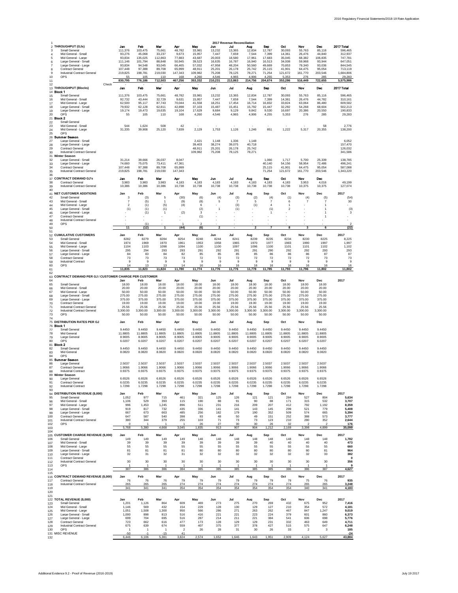|                                                                             |                                                                                                                                                                                                               |                                                                                                |                                                                                                 |                                                                                               |                                                                                             |                                                                                                |                                                                                              | 2017 Revenue Reconciliation                                                                  |                                                                                              |                                                                                              |                                                                                                |                                                                                              |                                                                                               |                                                                                                                  |
|-----------------------------------------------------------------------------|---------------------------------------------------------------------------------------------------------------------------------------------------------------------------------------------------------------|------------------------------------------------------------------------------------------------|-------------------------------------------------------------------------------------------------|-----------------------------------------------------------------------------------------------|---------------------------------------------------------------------------------------------|------------------------------------------------------------------------------------------------|----------------------------------------------------------------------------------------------|----------------------------------------------------------------------------------------------|----------------------------------------------------------------------------------------------|----------------------------------------------------------------------------------------------|------------------------------------------------------------------------------------------------|----------------------------------------------------------------------------------------------|-----------------------------------------------------------------------------------------------|------------------------------------------------------------------------------------------------------------------|
| 3<br>$\overline{4}$<br>5<br>6<br>$\overline{7}$<br>8<br>9<br>10<br>11<br>12 | 2 THROUGHPUT (GJs)<br>Small General<br>Mid General - Small<br>Mid General - Large<br>Large General - Small<br>Large General - Large<br><b>Contract General</b><br>Industrial Contract General<br>OPS<br>Check | Jan<br>111,376<br>93.276<br>93.834<br>111,146<br>93.834<br>107,448<br>219,825<br>55<br>830,795 | Fob<br>103,475<br>45,068<br>135.025<br>101,794<br>94.548<br>97,388<br>198,781<br>105<br>776,186 | Mar<br>75,661<br>33,237<br>112.863<br>88,848<br>93.045<br>89,708<br>219,030<br>110<br>712,503 | Aor<br>48,782<br>9.673<br>77,883<br>50,945<br>66.465<br>65,999<br>147,343<br>168<br>467,256 | May<br>33,981<br>15.957<br>43.687<br>39,523<br>57.032<br>48,911<br>109,982<br>4.260<br>353,332 | Jun<br>13,232<br>7.447<br>20,003<br>16,635<br>47.958<br>25,201<br>75,208<br>4.546<br>210,231 | Jul<br>13,365<br>7.659<br>18,580<br>16,787<br>48.204<br>26,178<br>78,125<br>4.965<br>213,863 | Aug<br>12,834<br>7.544<br>17,961<br>16,940<br>50,560<br>25,742<br>78,271<br>4.906<br>214,756 | Sep<br>12,787<br>7,399<br>17,683<br>16,513<br>49.669<br>25,115<br>71,254<br>4.255<br>204,674 | Oct<br>30,093<br>14.361<br>35,045<br>34,008<br>70.853<br>41,901<br>121,672<br>5.353<br>353,286 | Nov<br>55,763<br>26.476<br>68,382<br>59,968<br>79.340<br>64,475<br>161,770<br>276<br>516,449 | Dec<br>85,116<br>44.840<br>106.835<br>93,944<br>93.036<br>95,054<br>203,546<br>285<br>722,655 | 2017 Total<br>596,465<br>312,937<br>747,781<br>647,051<br>844.545<br>713,119<br>1,684,806<br>29.283<br>5,575,986 |
|                                                                             | 13 THROUGHPUT (Blocks)<br>14 <b>Block 1</b>                                                                                                                                                                   | Jan                                                                                            | Feb                                                                                             | Mar                                                                                           | Apr                                                                                         | May                                                                                            | Jun                                                                                          | Jul                                                                                          | Aug                                                                                          | <b>Sep</b>                                                                                   | Oct                                                                                            | Nov                                                                                          | Dec                                                                                           | 2017 Total                                                                                                       |
| 15<br>16<br>17<br>18<br>19<br>20<br>22                                      | Small General<br>Mid General - Small<br>Mid General - Large<br>Large General - Small<br>Large General - Large<br>OPS<br>21 <b>Block 2</b><br>Small General                                                    | 111.376<br>92.732<br>62,500<br>79.932<br>19,174<br>55                                          | 103.475<br>43.444<br>95.117<br>62.128<br>19,473<br>105                                          | 75.661<br>32.729<br>87,743<br>62.811<br>19,635<br>110                                         | 48,782<br>9.631<br>70.044<br>42.898<br>19,104<br>168                                        | 33.981<br>15.957<br>41.558<br>37.103<br>17,629<br>4.260                                        | 13,232<br>7,447<br>18,251<br>15.487<br>9,684<br>4.546                                        | 13,365<br>7,659<br>17,454<br>15.451<br>9,129<br>4.965                                        | 12,834<br>7,544<br>16.714<br>15.792<br>9,842<br>4.906                                        | 12,787<br>7,399<br>16.832<br>15.447<br>9,530<br>4.255                                        | 30.093<br>14,361<br>33.824<br>32.292<br>16,697<br>5.353                                        | 55.763<br>26,476<br>63.064<br>54.268<br>20,386<br>276                                        | 85.116<br>44,782<br>86,480<br>68,604<br>20,550<br>285                                         | 596,465<br>310.161<br>609,582<br>502.213<br>190,833<br>29,283                                                    |
| 23<br>24<br>25<br>27                                                        | Mid General - Small<br>Mid General - Large<br>OPS<br>26 Summer Season<br>Large General - Small                                                                                                                | 544<br>31.335                                                                                  | 1,624<br>39,908                                                                                 | 508<br>25.120                                                                                 | 42<br>7.839                                                                                 | 2.129<br>2.421                                                                                 | 1.753<br>1,148                                                                               | 1.126<br>1,336                                                                               | 1.246<br>1,148                                                                               | 851                                                                                          | 1.222                                                                                          | 5.317                                                                                        | 58<br>20,355                                                                                  | 2.776<br>138,200<br>6.052                                                                                        |
| 28<br>29<br>30<br>32<br>33<br>34                                            | Large General - Large<br><b>Contract General</b><br>Industrial Contract General<br>31 Winter Season<br>Large General - Small<br>Large General - Large<br><b>Contract General</b>                              | 31.214<br>74,660<br>107,448                                                                    | 39,666<br>75,075<br>97,388                                                                      | 26.037<br>73,411<br>89,708                                                                    | 8.047<br>47,361<br>65,999                                                                   | 39.403<br>48.911<br>109.982                                                                    | 38,274<br>25.201<br>75,208                                                                   | 39,075<br>26.178<br>78,125                                                                   | 40,718<br>25.742<br>78,271                                                                   | 1.066<br>40,140<br>25,115                                                                    | 1.717<br>54,156<br>41,901                                                                      | 5.700<br>58,954<br>64.475                                                                    | 25.339<br>72,486<br>95,054                                                                    | 157,470<br>126.032<br>341,586<br>138,785<br>496,241<br>587,088                                                   |
| 35<br>36<br>37<br>38                                                        | Industrial Contract General<br><b>CONTRACT DEMAND GJ's</b><br><b>Contract General</b>                                                                                                                         | 219,825<br>Jan<br>3.983                                                                        | 198,781<br>Feb<br>3.983                                                                         | 219,030<br>Mar<br>3.983                                                                       | 147,343<br>Apr<br>4,183                                                                     | May<br>4.183                                                                                   | Jun<br>4,183                                                                                 | Jul<br>4.183                                                                                 | Aua<br>4.183                                                                                 | 71,254<br>Sep<br>4,183                                                                       | 121,672<br>Oct<br>4,183                                                                        | 161,770<br>Nov<br>3.953                                                                      | 203,546<br>Dec<br>4.016                                                                       | 1,343,220<br>49.199                                                                                              |
| 39<br>40                                                                    | Industrial Contract General                                                                                                                                                                                   | 10,386                                                                                         | 10,386                                                                                          | 10,386                                                                                        | 10,738                                                                                      | 10,738                                                                                         | 10,738                                                                                       | 10,738                                                                                       | 10,738                                                                                       | 10,738                                                                                       | 10,738                                                                                         | 10,375                                                                                       | 10,375                                                                                        | 127,074                                                                                                          |
| 42<br>43<br>44<br>45<br>46<br>47<br>48<br>49                                | 41 NET CUSTOMER ADDITIONS<br>Small General<br>Mid General - Small<br>Mid General - Large<br>Large General - Small<br>Large General - Large<br><b>Contract General</b><br>Industrial Contract General<br>OPS   | Jan<br>3<br>$\overline{7}$<br>$\overline{2}$<br>(1)                                            | Feb<br>(3)<br>(5)<br>(1)<br>(1)<br>(1)<br>(1)                                                   | Mar<br>5<br>1<br>(5)<br>(1)<br>1                                                              | Apr<br>(30)<br>(9)<br>(4)<br>(2)<br>$\overline{1}$                                          | May<br>(6)<br>(8)<br>6<br>(2)<br>3<br>(1)<br>$\mathfrak{p}$                                    | Jun<br>(4)<br>5<br>$\mathbf{1}$                                                              | Jul<br>(3)<br>$\overline{7}$<br>(3)<br>(1)                                                   | Aug<br>(2)<br>5<br>(1)                                                                       | Sep<br>(4)<br>$\overline{7}$<br>$\overline{4}$<br>(1)<br>$\mathbf{1}$                        | Oct<br>(1)<br>6<br>$\overline{2}$                                                              | Nov<br>(4)<br>$\overline{7}$                                                                 | Dec<br>(5)<br>$\overline{7}$<br>1<br>1<br>1<br>1                                              | 2017<br>(54)<br>30<br>(3)<br>3<br>-2                                                                             |
| 50<br>51                                                                    |                                                                                                                                                                                                               | 11                                                                                             | (12)                                                                                            | $\overline{1}$                                                                                | (44)                                                                                        | (6)                                                                                            | $\overline{2}$                                                                               |                                                                                              | $\overline{2}$                                                                               | $\overline{7}$                                                                               | 8                                                                                              | 3                                                                                            | 6                                                                                             | (22)                                                                                                             |
| 53<br>54<br>55<br>56<br>57<br>58<br>59<br>60                                | 52 CUMULATIVE CUSTOMERS<br>Small General<br>Mid General - Small<br>Mid General - Large<br>Large General - Small<br>Large General - Large<br><b>Contract General</b><br>Industrial Contract<br>OPS             | Jan<br>8282<br>1974<br>1104<br>295<br>84<br>73<br>9<br>14                                      | Feb<br>8279<br>1969<br>1103<br>294<br>83<br>73<br>9<br>13                                       | Mar<br>8284<br>1970<br>1098<br>293<br>84<br>73<br>9<br>13                                     | Apr<br>8254<br>1961<br>1094<br>293<br>82<br>73<br>9<br>14                                   | May<br>8248<br>1953<br>1100<br>291<br>85<br>72<br>9<br>16                                      | Jun<br>8244<br>1958<br>1100<br>292<br>85<br>72<br>9<br>16                                    | Jul<br>8241<br>1965<br>1097<br>291<br>85<br>72<br>9<br>16                                    | Aug<br>8239<br>1970<br>1096<br>291<br>85<br>72<br>9<br>16                                    | Sep<br>8235<br>1977<br>1100<br>290<br>86<br>72<br>9<br>16                                    | Oct<br>8234<br>1983<br>1101<br>292<br>86<br>72<br>9<br>16                                      | Nov<br>8230<br>1990<br>1101<br>292<br>86<br>72<br>9<br>16                                    | Dec<br>8225<br>1997<br>1102<br>293<br>87<br>73<br>9<br>16                                     | 2017<br>8.225<br>1.997<br>1,102<br>293<br>87<br>73<br>g<br>16                                                    |
| 61<br>62                                                                    |                                                                                                                                                                                                               | 11,835                                                                                         | 11,823                                                                                          | 11,824                                                                                        | 11,780                                                                                      | 11,774                                                                                         | 11,776                                                                                       | 11,776                                                                                       | 11,778                                                                                       | 11,785                                                                                       | 11,793                                                                                         | 11,796                                                                                       | 11,802                                                                                        | 11,802                                                                                                           |
| 63<br>64                                                                    | CONTRACT DEMAND PER GJ / CUSTOMER CHARGE PER CUSTOMER                                                                                                                                                         | Jan                                                                                            | Feb                                                                                             | Mar                                                                                           | Apr                                                                                         | May                                                                                            | Jun                                                                                          | Jul                                                                                          | Aug                                                                                          | Sep                                                                                          | Oct                                                                                            | Nov                                                                                          | Dec                                                                                           | 2017                                                                                                             |
| 65<br>66<br>67<br>68<br>69<br>70<br>71<br>72<br>73                          | Small General<br>Mid General - Small<br>Mid General - Large<br>Large General - Small<br>Large General - Large<br><b>Contract General</b><br>Industrial Contract General<br>Industrial Contract General<br>OPS | 18.00<br>20.00<br>50.00<br>275.00<br>375.00<br>19.00<br>25.56<br>3,300.00<br>50.00             | 18.00<br>20.00<br>50.00<br>275.00<br>375.00<br>19.00<br>25.56<br>3,300.00<br>50.00              | 18.00<br>20.00<br>50.00<br>275.00<br>375.00<br>19.00<br>25.56<br>3,300.00<br>50.00            | 18.00<br>20.00<br>50.00<br>275.00<br>375.00<br>19.00<br>25.56<br>3,300.00<br>50.00          | 18.00<br>20.00<br>50.00<br>275.00<br>375.00<br>19.00<br>25.56<br>3,300.00<br>50.00             | 18.00<br>20.00<br>50.00<br>275.00<br>375.00<br>19.00<br>25.56<br>3,300.00<br>50.00           | 18.00<br>20.00<br>50.00<br>275.00<br>375.00<br>19.00<br>25.56<br>3,300.00<br>50.00           | 18.00<br>20.00<br>50.00<br>275.00<br>375.00<br>19.00<br>25.56<br>3,300.00<br>50.00           | 18.00<br>20.00<br>50.00<br>275.00<br>375.00<br>19.00<br>25.56<br>3,300.00<br>50.00           | 18.00<br>20.00<br>50.00<br>275.00<br>375.00<br>19.00<br>25.56<br>3,300.00<br>50.00             | 18.00<br>20.00<br>50.00<br>275.00<br>375.00<br>19.00<br>25.56<br>3,300.00<br>50.00           | 18.00<br>20.00<br>50.00<br>275.00<br>375.00<br>19.00<br>25.56<br>3,300.00<br>50.00            |                                                                                                                  |
| 74                                                                          | 75 DISTRIBUTION RATES PER GJ                                                                                                                                                                                  | Jan                                                                                            | Feb                                                                                             | Mar                                                                                           | Apr                                                                                         | May                                                                                            | Jun                                                                                          | Jul                                                                                          | Aug                                                                                          | Sep                                                                                          | Oct                                                                                            | Nov                                                                                          | Dec                                                                                           |                                                                                                                  |
| 77<br>78<br>79<br>80                                                        | 76 Block 1<br>Small General<br>Mid General<br>Large General<br>OPS                                                                                                                                            | 9.4450<br>11,8805<br>8.9005<br>6.0207                                                          | 9.4450<br>11.8805<br>8,9005<br>6.0207                                                           | 9.4450<br>11.8805<br>8.9005<br>6.0207                                                         | 9.4450<br>11.8805<br>8.9005<br>6.0207                                                       | 9.4450<br>11,8805<br>8,9005<br>6.0207                                                          | 9.4450<br>11.8805<br>8.9005<br>6.0207                                                        | 9.4450<br>11.8805<br>8.9005<br>6.0207                                                        | 9,4450<br>11.8805<br>8,9005<br>6.0207                                                        | 9.4450<br>11.8805<br>8.9005<br>6.0207                                                        | 9.4450<br>11,8805<br>8.9005<br>6.0207                                                          | 9.4450<br>11.8805<br>8,9005<br>6.0207                                                        | 9.4450<br>11.8805<br>8.9005<br>6.0207                                                         |                                                                                                                  |
| 82<br>83<br>84                                                              | 81 Block 2<br>Small General<br>Mid General<br>OPS<br>85 Summer Season                                                                                                                                         | 9.4450<br>8.0820                                                                               | 9.4450<br>8.0820                                                                                | 9.4450<br>8.0820                                                                              | 9.4450<br>8.0820                                                                            | 9.4450<br>8.0820                                                                               | 9.4450<br>8.0820                                                                             | 9.4450<br>8.0820                                                                             | 9.4450<br>8.0820                                                                             | 9.4450<br>8.0820                                                                             | 9.4450<br>8.0820                                                                               | 9.4450<br>8.0820                                                                             | 9.4450<br>8.0820                                                                              |                                                                                                                  |
| 86<br>87<br>88                                                              | Large General<br><b>Contract General</b><br><b>Industrial Contract</b><br>89 Winter Season                                                                                                                    | 2.5037<br>1.9066<br>0.9375<br>6.6526                                                           | 2.5037<br>1.9066<br>0.9375<br>6.6526                                                            | 2.5037<br>1.9066<br>0.9375<br>6.6526                                                          | 2.5037<br>1.9066<br>0.9375<br>6.6526                                                        | 2.5037<br>1.9066<br>0.9375<br>6.6526                                                           | 2.5037<br>1.9066<br>0.9375<br>6.6526                                                         | 2.5037<br>1.9066<br>0.9375<br>6.6526                                                         | 2.5037<br>1,9066<br>0.9375<br>6.6526                                                         | 2.5037<br>1.9066<br>0.9375<br>6.6526                                                         | 2.5037<br>1.9066<br>0.9375<br>6.6526                                                           | 2.5037<br>1.9066<br>0.9375<br>6.6526                                                         | 2.5037<br>1.9066<br>0.9375<br>6.6526                                                          |                                                                                                                  |
| 90<br>91<br>92<br>93                                                        | Large General<br><b>Contract General</b><br><b>Industrial Contract</b><br>94 DISTRIBUTION REVENUE (\$,000)                                                                                                    | 6.0235<br>1.7298<br>Jan                                                                        | 6.0235<br>1.7298<br>Feb                                                                         | 6.0235<br>1.7298<br>Mar                                                                       | 6.0235<br>1.7298<br>Apr                                                                     | 6.0235<br>1.7298<br>May                                                                        | 6.0235<br>1.7298<br>Jun                                                                      | 6.0235<br>1.7298<br>Jul                                                                      | 6.0235<br>1.7298<br>Aug                                                                      | 6.0235<br>1.7298<br>Sep                                                                      | 6.0235<br>1.7298<br>Oct                                                                        | 6.0235<br>1.7298<br>Nov                                                                      | 6.0235<br>1.7298<br>Dec                                                                       | 2017                                                                                                             |
| 95<br>96<br>97<br>98<br>99<br>100<br>101                                    | Small General<br>Mid General - Small<br>Mid General - Large<br>Large General - Small<br>Large General - Large<br><b>Contract General</b><br>Industrial Contract General<br>OPS                                | 1,052<br>1,106<br>996<br>919<br>667<br>647<br>380<br>$\mathbf 0$                               | 977<br>529<br>1,453<br>817<br>673<br>587<br>344<br>-1                                           | 715<br>393<br>1,245<br>732<br>663<br>540<br>379                                               | 461<br>115<br>896<br>435<br>485<br>398<br>255                                               | 321<br>190<br>511<br>336<br>256<br>93<br>103                                                   | 125<br>88<br>231<br>141<br>182<br>48<br>71                                                   | 126<br>91<br>216<br>141<br>179<br>50<br>73                                                   | 121<br>90<br>209<br>143<br>190<br>49<br>73                                                   | 121<br>88<br>207<br>145<br>352<br>151<br>123                                                 | 284<br>171<br>412<br>299<br>509<br>252<br>210                                                  | 527<br>315<br>792<br>521<br>574<br>388<br>280<br>$\overline{2}$                              | 804<br>532<br>1,192<br>779<br>665<br>573<br>352<br>$\mathcal{P}$                              | 5,634<br>3,707<br>8,359<br>5,408<br>5,394<br>3,777<br>2.644                                                      |
| 102<br>103                                                                  |                                                                                                                                                                                                               | 5,768                                                                                          | 5,380                                                                                           | 4,668                                                                                         | 3,045                                                                                       | 26<br>1,835                                                                                    | 27<br>913                                                                                    | 30<br>907                                                                                    | 30<br>904                                                                                    | 26<br>1,212                                                                                  | 32<br>2,169                                                                                    | 3,398                                                                                        | 4,899                                                                                         | 176<br>35,099                                                                                                    |
| 104                                                                         | 105 CUSTOMER CHARGE REVENUE (\$,000)                                                                                                                                                                          | Jan                                                                                            | Feb                                                                                             | Mar                                                                                           | Apr                                                                                         | May                                                                                            | Jun                                                                                          | Jul                                                                                          | Aug                                                                                          | Sep                                                                                          | Oct                                                                                            | Nov                                                                                          | Dec                                                                                           | 2017                                                                                                             |
| 106<br>107                                                                  | Small General<br>Mid General - Small                                                                                                                                                                          | 149<br>39                                                                                      | 149<br>39                                                                                       | 149<br>39                                                                                     | 149<br>39                                                                                   | 148<br>39                                                                                      | 148<br>39                                                                                    | 148<br>39                                                                                    | 148<br>39                                                                                    | 148<br>40                                                                                    | 148<br>40                                                                                      | 148<br>40                                                                                    | 148<br>40                                                                                     | 1,782<br>473                                                                                                     |
| 108<br>109                                                                  | Mid General - Large<br>Large General - Small                                                                                                                                                                  | 55<br>81                                                                                       | 55<br>81                                                                                        | 55<br>81                                                                                      | 55<br>81                                                                                    | 55<br>80                                                                                       | 55<br>80                                                                                     | 55<br>80                                                                                     | 55<br>80                                                                                     | 55<br>80                                                                                     | 55<br>80                                                                                       | 55<br>80                                                                                     | 55<br>81                                                                                      | 660<br>964                                                                                                       |
| 110<br>111                                                                  | Large General - Large<br><b>Contract General</b>                                                                                                                                                              | 32                                                                                             | 31                                                                                              | 32                                                                                            | 31                                                                                          | 32                                                                                             | 32                                                                                           | 32                                                                                           | 32                                                                                           | 32                                                                                           | 32                                                                                             | 32                                                                                           | 33                                                                                            | 382<br>O                                                                                                         |
| 112                                                                         | Industrial Contract General                                                                                                                                                                                   | 30                                                                                             | 30                                                                                              | 30                                                                                            | 30                                                                                          | 30                                                                                             | 30                                                                                           | 30                                                                                           | 30                                                                                           | 30                                                                                           | 30                                                                                             | 30                                                                                           | 30                                                                                            | 356                                                                                                              |
| 113<br>114                                                                  | OPS                                                                                                                                                                                                           | 1<br>387                                                                                       | 386                                                                                             | 386                                                                                           | $\overline{1}$<br>384                                                                       | 385                                                                                            | 1<br>385                                                                                     | 385                                                                                          | 385                                                                                          | 385                                                                                          | $\overline{1}$<br>386                                                                          | 386                                                                                          | $\overline{1}$<br>387                                                                         | 4,627                                                                                                            |
| 115<br>117<br>118                                                           | 116 CONTRACT DEMAND REVENUE (\$,000)<br>Contract General<br>Industrial Contract General                                                                                                                       | Jan<br>76<br>265                                                                               | Feb<br>76<br>265                                                                                | Mar<br>76<br>265                                                                              | Apr<br>79<br>274                                                                            | May<br>79<br>274                                                                               | Jun<br>79<br>274                                                                             | Jul<br>79<br>274                                                                             | Aug<br>79<br>274                                                                             | Sep<br>79<br>274                                                                             | Oct<br>79<br>274                                                                               | Nov<br>75<br>265                                                                             | Dec<br>76<br>265                                                                              | 2017<br>935<br>3,248                                                                                             |
| 119<br>120                                                                  |                                                                                                                                                                                                               | 341                                                                                            | 341                                                                                             | 341                                                                                           | 354                                                                                         | 354                                                                                            | 354                                                                                          | 354                                                                                          | 354                                                                                          | 354                                                                                          | 354                                                                                            | 340                                                                                          | 341                                                                                           | 4,183                                                                                                            |
| 121<br>123<br>124<br>125<br>126<br>127<br>128                               | 122 TOTAL REVENUE (\$,000)<br>Small General<br>Mid General - Small<br>Mid General - Large<br>Large General - Small<br>Large General - Large<br>Contract General                                               | Jan<br>1.201<br>1,146<br>1,051<br>1,000<br>699<br>723                                          | Feb<br>1.126<br>569<br>1,508<br>898<br>704<br>662                                               | Mar<br>864<br>432<br>1.300<br>813<br>695<br>616                                               | Apr<br>609<br>154<br>950<br>516<br>516<br>477                                               | May<br>469<br>229<br>566<br>416<br>287<br>173                                                  | Jun<br>273<br>128<br>286<br>221<br>214<br>128                                                | Jul<br>275<br>130<br>271<br>221<br>211<br>129                                                | Aug<br>270<br>129<br>263<br>223<br>221<br>129                                                | Sep<br>269<br>127<br>262<br>224<br>384<br>231                                                | Oct<br>432<br>210<br>467<br>379<br>541<br>332                                                  | Nov<br>675<br>354<br>847<br>601<br>606<br>463                                                | Dec<br>952<br>572<br>1,247<br>860<br>698<br>649                                               | 2017<br>7,416<br>4,181<br>9,019<br>6.373<br>5,776<br>4,711                                                       |
| 129<br>130                                                                  | Industrial Contract General<br>OPS                                                                                                                                                                            | 675<br>1                                                                                       | 639<br>$\overline{1}$                                                                           | 674<br>$\overline{1}$                                                                         | 559<br>$\overline{\mathbf{c}}$                                                              | 407<br>26                                                                                      | 375<br>28                                                                                    | 377<br>31                                                                                    | 378<br>30                                                                                    | 427<br>26                                                                                    | 515<br>33                                                                                      | 575<br>$\overline{2}$                                                                        | 647<br>3                                                                                      | 6.248<br>185                                                                                                     |
| 132                                                                         | 131 MISC REVENUE                                                                                                                                                                                              | $-50$<br>6,446                                                                                 | -1<br>6,106                                                                                     | $-15$<br>5,381                                                                                | 41<br>3,824                                                                                 | 2,574                                                                                          | 1,652                                                                                        | 1,646                                                                                        | 1,643                                                                                        | 1,951                                                                                        | 2,909                                                                                          | 4,124                                                                                        | 5,627                                                                                         | $-24$<br>43,884                                                                                                  |
|                                                                             |                                                                                                                                                                                                               |                                                                                                |                                                                                                 |                                                                                               |                                                                                             |                                                                                                |                                                                                              |                                                                                              |                                                                                              |                                                                                              |                                                                                                |                                                                                              |                                                                                               |                                                                                                                  |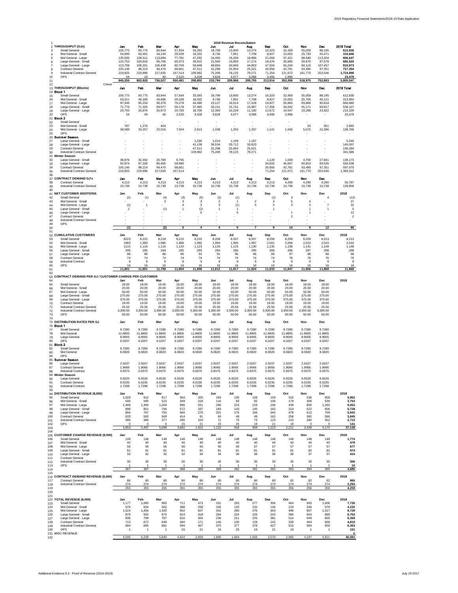| 1                                                                     |                                                                                                                                                                                                                                  |                                                                                                  |                                                                                                |                                                                                               |                                                                                                |                                                                                                |                                                                                              | 2018 Revenue Reconciliation                                                                  |                                                                                              |                                                                                              |                                                                                                |                                                                                           |                                                                                           |                                                                                                                  |
|-----------------------------------------------------------------------|----------------------------------------------------------------------------------------------------------------------------------------------------------------------------------------------------------------------------------|--------------------------------------------------------------------------------------------------|------------------------------------------------------------------------------------------------|-----------------------------------------------------------------------------------------------|------------------------------------------------------------------------------------------------|------------------------------------------------------------------------------------------------|----------------------------------------------------------------------------------------------|----------------------------------------------------------------------------------------------|----------------------------------------------------------------------------------------------|----------------------------------------------------------------------------------------------|------------------------------------------------------------------------------------------------|-------------------------------------------------------------------------------------------|-------------------------------------------------------------------------------------------|------------------------------------------------------------------------------------------------------------------|
| 3<br>$\overline{4}$<br>5<br>6<br>$\overline{7}$<br>8<br>9<br>10<br>11 | 2 THROUGHPUT (GJs)<br>Small General<br>Mid General - Small<br>Mid General - Large<br>Large General - Small<br>Large General - Large<br><b>Contract General</b><br>Industrial Contract General<br><b>OPS</b>                      | Jan<br>105,775<br>54.099<br>135.935<br>110,753<br>113,768<br>105,146<br>219,825<br>54<br>845,355 | Fob<br>93,775<br>50,461<br>128.511<br>103,818<br>108,201<br>98,214<br>219,896<br>43<br>802,920 | Mar<br>83,944<br>44.140<br>113,894<br>95,766<br>106.439<br>94,470<br>217,835<br>40<br>756,527 | Aor<br>57,934<br>29,339<br>77,781<br>65,973<br>80.759<br>68,661<br>167,514<br>2.520<br>550,481 | May<br>33,393<br>18,332<br>47.292<br>39,015<br>59.848<br>47,511<br>109,982<br>3.428<br>358,802 | Jun<br>18,799<br>9.736<br>24.465<br>21,565<br>48.894<br>31,298<br>75,208<br>3.829<br>233,794 | Jul<br>13,900<br>7.851<br>19,269<br>16,850<br>43.940<br>25,954<br>78,125<br>4.077<br>209,966 | Aug<br>13,274<br>7,708<br>18,866<br>17,174<br>44.803<br>25,521<br>78,271<br>3.088<br>208,705 | Sep<br>16,323<br>8,927<br>21,068<br>18,476<br>47.504<br>26,956<br>71,254<br>3.406<br>213,914 | Oct<br>32,459<br>15.052<br>37,421<br>35,680<br>65.244<br>42,781<br>121,672<br>2.996<br>353,306 | Nov<br>55,059<br>25.730<br>68,940<br>59,870<br>84.116<br>63,490<br>161,770<br>518,975     | Doc<br>88,195<br>45.471<br>113,204<br>97,578<br>107.457<br>97,351<br>203,546<br>752,803   | 2018 Total<br>612,830<br>316,846<br>806.647<br>682,520<br>910.973<br>727,354<br>1,724,898<br>23,479<br>5,805,547 |
| 12                                                                    | Check<br>13 THROUGHPUT (Blocks)                                                                                                                                                                                                  | Jan                                                                                              | Feb                                                                                            | Mar                                                                                           | Apr                                                                                            | Mav                                                                                            | Jun                                                                                          | Jul                                                                                          | Aug                                                                                          | <b>Sep</b>                                                                                   | Oct                                                                                            | Nov                                                                                       | Dec                                                                                       | 2018 Total                                                                                                       |
| 15<br>16<br>17<br>18<br>19<br>20                                      | 14 <b>Block 1</b><br>Small General<br>Mid General - Small<br>Mid General - Large<br>Large General - Small<br>Large General - Large<br>OPS<br>21 <b>Block 2</b>                                                                   | 105,775<br>53,311<br>97.346<br>71.776<br>20,793<br>54                                            | 93,775<br>49.185<br>95,254<br>71.325<br>20,876<br>43                                           | 83.944<br>43,686<br>90.378<br>69.977<br>20,973<br>40                                          | 57.934<br>29.339<br>70,278<br>59.178<br>20,769<br>2.520                                        | 33.393<br>18.332<br>44.480<br>37.485<br>18,709<br>3.428                                        | 18.799<br>9,736<br>23,127<br>20.151<br>12,360<br>3,829                                       | 13,900<br>7,851<br>18,014<br>15.741<br>10,228<br>4,077                                       | 13.274<br>7,708<br>17,528<br>15,987<br>11,180<br>3,088                                       | 16,323<br>8,927<br>19,927<br>17.356<br>12,672<br>3.406                                       | 32.459<br>15,052<br>35.865<br>34.042<br>19,547<br>2.996                                        | 55,059<br>25,705<br>63,866<br>55.171<br>23,298                                            | 88.195<br>45.121<br>90.818<br>69.917<br>23,922                                            | 612,830<br>313.954<br>666,880<br>538.107<br>215,329<br>23,479                                                    |
| 22<br>23<br>24<br>25                                                  | Small General<br>Mid General - Small<br>Mid General - Large<br>OPS<br>26 Summer Season                                                                                                                                           | 787<br>38,589                                                                                    | 1,276<br>33.257                                                                                | 454<br>23,516                                                                                 | 7.504                                                                                          | ×,<br>2.813                                                                                    | ٠<br>1,338                                                                                   | ï<br>1,255                                                                                   | 1,337                                                                                        | 1,141                                                                                        | 1,556                                                                                          | 24<br>5,075                                                                               | 351<br>22.386                                                                             | 2.892<br>139,766                                                                                                 |
| 27<br>28<br>29<br>30                                                  | Large General - Small<br>Large General - Large<br><b>Contract General</b><br>Industrial Contract General<br>31 Winter Season                                                                                                     | ٠                                                                                                |                                                                                                |                                                                                               |                                                                                                | 1,530<br>41,139<br>47.511<br>109.982                                                           | 1,414<br>36,534<br>31.298<br>75,208                                                          | 1,109<br>33,712<br>25.954<br>78,125                                                          | 1,187<br>33,623<br>25.521<br>78,271                                                          |                                                                                              |                                                                                                | ٠<br>٠                                                                                    |                                                                                           | 5,240<br>145,007<br>130,284<br>341,586                                                                           |
| 32<br>33<br>34<br>35<br>36                                            | Large General - Small<br>Large General - Large<br><b>Contract General</b><br>Industrial Contract General                                                                                                                         | 38,976<br>92.974<br>105,146<br>219,825                                                           | 32,492<br>87,326<br>98,214<br>219,896                                                          | 25,789<br>85,465<br>94,470<br>217,835                                                         | 6.795<br>59,990<br>68,661<br>167.514                                                           | ٠                                                                                              | ٠                                                                                            | ×,                                                                                           | ×,                                                                                           | 1.120<br>34,832<br>26,956<br>71,254                                                          | 1.639<br>45,697<br>42,781<br>121,672                                                           | 4.700<br>60,819<br>63,490<br>161,770                                                      | 27.661<br>83,535<br>97,351<br>203,546                                                     | 139,173<br>550,638<br>597,070<br>1,383,312                                                                       |
| 38<br>39<br>40                                                        | 37 CONTRACT DEMAND GJ's<br><b>Contract General</b><br>Industrial Contract General                                                                                                                                                | Jan<br>4.213<br>10,738                                                                           | Feb<br>4,213<br>10,738                                                                         | Mar<br>4.213<br>10,738                                                                        | Apr<br>4.213<br>10,738                                                                         | May<br>4.213<br>10,738                                                                         | Jun<br>4.213<br>10,738                                                                       | Jul<br>4.213<br>10,738                                                                       | Aua<br>4.213<br>10,738                                                                       | Sep<br>4,213<br>10,738                                                                       | Oct<br>4.290<br>10,738                                                                         | Nov<br>4.290<br>10,738                                                                    | Dec<br>4.290<br>10,738                                                                    | 50.787<br>128,856                                                                                                |
| 42<br>43<br>44<br>45<br>46<br>47<br>48                                | <b>41 NET CUSTOMER ADDITIONS</b><br>Small General<br>Mid General - Small<br>Mid General - Large<br>Large General - Small<br>Large General - Large<br><b>Contract General</b><br>Industrial Contract General<br>OPS               | Jan<br>(2)<br>(1)<br>$\overline{2}$                                                              | Feb<br>(1)<br>1                                                                                | Mar<br>(4)<br>3<br>(1)                                                                        | Apr<br>(3)<br>3<br>$\overline{4}$<br>$\overline{1}$                                            | May<br>(5)<br>3<br>3<br>(2)<br>5                                                               | Jun<br>(2)<br>$\overline{2}$<br>3<br>$\overline{1}$                                          | Jul<br>(1)<br>$\overline{1}$<br>(1)<br>$\overline{1}$<br>5                                   | Aug<br>$\overline{2}$<br>5                                                                   | Sep<br>(1)<br>$\overline{4}$<br>5<br>$\overline{1}$                                          | Oct<br>3<br>5<br>3<br>1<br>$\overline{2}$                                                      | Nov<br>$\overline{4}$<br>3<br>1<br>$\overline{1}$                                         | Dec<br>$\overline{4}$<br>$\overline{7}$                                                   | 2018<br>(12)<br>27<br>32<br>5<br>12<br>$\overline{2}$                                                            |
| 49<br>50                                                              |                                                                                                                                                                                                                                  | (1)                                                                                              | ٠                                                                                              | (2)                                                                                           | 5                                                                                              | $\overline{4}$                                                                                 | $\overline{4}$                                                                               | 5                                                                                            | 7                                                                                            | 9                                                                                            | 14                                                                                             | 9                                                                                         | 12                                                                                        | 66                                                                                                               |
| 51<br>53<br>54<br>55<br>56<br>57<br>58<br>59<br>60<br>61              | 52 CUMULATIVE CUSTOMERS<br>Small General<br>Mid General - Small<br>Mid General - Large<br>Large General - Small<br>Large General - Large<br><b>Contract General</b><br>Industrial Contract<br><b>OPS</b>                         | Jan<br>8223<br>1983<br>1115<br>295<br>86<br>74<br>9<br>16<br>11,801                              | Feb<br>8,222<br>1.983<br>1,116<br>295<br>86<br>74<br>9<br>16<br>11,801                         | Mar<br>8.218<br>1.986<br>1,116<br>294<br>86<br>74<br>9<br>16<br>11,799                        | Apr<br>8.215<br>1.989<br>1,120<br>295<br>86<br>74<br>9<br>16<br>11,804                         | May<br>8,210<br>1.992<br>1,123<br>293<br>91<br>74<br>9<br>16<br>11,808                         | Jun<br>8,208<br>1.994<br>1,126<br>294<br>91<br>74<br>9<br>16<br>11,812                       | Jul<br>8.207<br>1.995<br>1,125<br>295<br>96<br>74<br>9<br>16<br>11,817                       | Aug<br>8,207<br>1.997<br>1,130<br>295<br>96<br>74<br>9<br>16<br>11,824                       | Sep<br>8,206<br>2.001<br>1,135<br>296<br>96<br>74<br>9<br>16<br>11,833                       | Oct<br>8.209<br>2.006<br>1,138<br>296<br>97<br>76<br>9<br>16<br>11,847                         | Nov<br>8,209<br>2.010<br>1,141<br>297<br>98<br>76<br>9<br>16<br>11,856                    | Dec<br>8.213<br>2.010<br>1,148<br>298<br>98<br>76<br>9<br>16<br>11,868                    | 2018<br>8.213<br>2.010<br>1,148<br>298<br>98<br>76<br>g<br>16<br>11,868                                          |
| 62<br>63                                                              | CONTRACT DEMAND PER GJ / CUSTOMER CHARGE PER CUSTOMER                                                                                                                                                                            |                                                                                                  |                                                                                                |                                                                                               |                                                                                                |                                                                                                |                                                                                              |                                                                                              |                                                                                              |                                                                                              |                                                                                                |                                                                                           |                                                                                           |                                                                                                                  |
| 64<br>65<br>66<br>67<br>68<br>69<br>70<br>71<br>72<br>73              | Small General<br>Mid General - Small<br>Mid General - Large<br>Large General - Small<br>Large General - Large<br><b>Contract General</b><br>Industrial Contract General<br>Industrial Contract General<br>OPS                    | Jan<br>18.00<br>20.00<br>50.00<br>275.00<br>375.00<br>19.00<br>25.56<br>3,300.00<br>50.00        | Feb<br>18.00<br>20.00<br>50.00<br>275.00<br>375.00<br>19.00<br>25.56<br>3,300.00<br>50.00      | Mar<br>18.00<br>20.00<br>50.00<br>275.00<br>375.00<br>19.00<br>25.56<br>3,300.00<br>50.00     | Apr<br>18.00<br>20.00<br>50.00<br>275.00<br>375.00<br>19.00<br>25.56<br>3,300.00<br>50.00      | May<br>18.00<br>20.00<br>50.00<br>275.00<br>375.00<br>19.00<br>25.56<br>3,300.00<br>50.00      | Jun<br>18.00<br>20.00<br>50.00<br>275.00<br>375.00<br>19.00<br>25.56<br>3,300.00<br>50.00    | Jul<br>18.00<br>20.00<br>50.00<br>275.00<br>375.00<br>19.00<br>25.56<br>3,300.00<br>50.00    | Aug<br>18.00<br>20.00<br>50.00<br>275.00<br>375.00<br>19.00<br>25.56<br>3,300.00<br>50.00    | Sep<br>18.00<br>20.00<br>50.00<br>275.00<br>375.00<br>19.00<br>25.56<br>3,300.00<br>50.00    | Oct<br>18.00<br>20.00<br>50.00<br>275.00<br>375.00<br>19.00<br>25.56<br>3,300.00<br>50.00      | Nov<br>18.00<br>20.00<br>50.00<br>275.00<br>375.00<br>19.00<br>25.56<br>3,300.00<br>50.00 | Dec<br>18.00<br>20.00<br>50.00<br>275.00<br>375.00<br>19.00<br>25.56<br>3,300.00<br>50.00 | 2018                                                                                                             |
| 74<br>77                                                              | 75 DISTRIBUTION RATES PER GJ<br>76 Block 1<br>Small General                                                                                                                                                                      | Jan<br>9.7280                                                                                    | Feb<br>9,7280                                                                                  | Mar<br>9.7280                                                                                 | Apr<br>9.7280<br>11.8805                                                                       | May<br>9,7280                                                                                  | Jun<br>9.7280                                                                                | Jul<br>9.7280                                                                                | Aug<br>9.7280<br>11.8805                                                                     | Sep<br>9.7280                                                                                | Oct<br>9.7280                                                                                  | Nov<br>9,7280                                                                             | Dec<br>9.7280<br>11.8805                                                                  |                                                                                                                  |
| 78<br>79<br>80<br>82                                                  | Mid General<br>Large General<br>OPS<br>81 Block 2<br>Small General                                                                                                                                                               | 11.8805<br>8.9005<br>6.0207<br>9.7280                                                            | 11.8805<br>8.9005<br>6.0207<br>9.7280                                                          | 11.8805<br>8,9005<br>6.0207<br>9.7280                                                         | 8.9005<br>6.0207<br>9.7280                                                                     | 11,8805<br>8,9005<br>6.0207<br>9.7280                                                          | 11,8805<br>8.9005<br>6.0207<br>9.7280                                                        | 11.8805<br>8.9005<br>6.0207<br>9.7280                                                        | 8.9005<br>6.0207<br>9.7280                                                                   | 11,8805<br>8.9005<br>6.0207<br>9.7280                                                        | 11.8805<br>8.9005<br>6.0207<br>9.7280                                                          | 11.8805<br>8,9005<br>6.0207<br>9.7280                                                     | 8.9005<br>6.0207<br>9.7280                                                                |                                                                                                                  |
| 83<br>84<br>86<br>87                                                  | Mid General<br>OPS<br>85 Summer Season<br>Large General<br><b>Contract General</b>                                                                                                                                               | 8.0820<br>2.5037<br>1.9066                                                                       | 8.0820<br>2.5037<br>1.9066                                                                     | 8.0820<br>2.5037<br>1.9066                                                                    | 8.0820<br>2.5037<br>1.9066                                                                     | 8.0820<br>2.5037<br>1.9066                                                                     | 8.0820<br>2.5037<br>1.9066                                                                   | 8.0820<br>2.5037<br>1.9066                                                                   | 8.0820<br>2.5037<br>1.9066                                                                   | 8.0820<br>2.5037<br>1.9066                                                                   | 8.0820<br>2.5037<br>1.9066                                                                     | 8.0820<br>2.5037<br>1.9066                                                                | 8.0820<br>2.5037<br>1.9066                                                                |                                                                                                                  |
| 88<br>90<br>91<br>92                                                  | Industrial Contract<br>89 Winter Season<br>Large General<br><b>Contract General</b><br>Industrial Contract                                                                                                                       | 0.9375<br>6.6526<br>6.0235<br>1.7298                                                             | 0.9375<br>6.6526<br>6.0235<br>1.7298                                                           | 0.9375<br>6.6526<br>6.0235<br>1.7298                                                          | 0.9375<br>6.6526<br>6.0235<br>1.7298                                                           | 0.9375<br>6.6526<br>6.0235<br>1.7298                                                           | 0.9375<br>6.6526<br>6.0235<br>1.7298                                                         | 0.9375<br>6.6526<br>6.0235<br>1.7298                                                         | 0.9375<br>6.6526<br>6.0235<br>1.7298                                                         | 0.9375<br>6.6526<br>6.0235<br>1.7298                                                         | 0.9375<br>6.6526<br>6.0235<br>1.7298                                                           | 0.9375<br>6.6526<br>6.0235<br>1,7298                                                      | 0.9375<br>6.6526<br>6.0235<br>1.7298                                                      |                                                                                                                  |
| 93<br>95<br>96<br>97<br>98<br>99<br>100<br>101<br>102                 | 94 DISTRIBUTION REVENUE (\$,000)<br>Small General<br>Mid General - Small<br>Mid General - Large<br>Large General - Smal<br>Large General - Large<br><b>Contract General</b><br>Industrial Contract General<br>OPS                | Jan<br>1,029<br>640<br>1,468<br>898<br>804<br>633<br>380<br>$^{\circ}$                           | Feb<br>912<br>595<br>1,400<br>851<br>767<br>592<br>380<br>$^{\circ}$                           | Mar<br>817<br>523<br>1,264<br>794<br>755<br>569<br>377<br>$^{\circ}$                          | Apr<br>564<br>349<br>896<br>572<br>584<br>414<br>290<br>15                                     | May<br>325<br>218<br>551<br>337<br>270<br>91<br>103<br>21                                      | Jun<br>183<br>116<br>286<br>183<br>201<br>60<br>71<br>23                                     | Jul<br>135<br>93<br>224<br>143<br>175<br>49<br>73<br>25                                      | Aug<br>129<br>-92<br>219<br>145<br>184<br>49<br>73<br>19                                     | Sep<br>159<br>106<br>246<br>162<br>345<br>162<br>123<br>21                                   | Oct<br>316<br>179<br>439<br>314<br>478<br>258<br>210<br>18                                     | Nov<br>536<br>306<br>800<br>522<br>612<br>382<br>280<br>$\mathbf 0$                       | Dec<br>858<br>539<br>1,260<br>806<br>769<br>586<br>352<br>$^{\circ}$                      | 2018<br>5,962<br>3.753<br>9,052<br>5,728<br>5.943<br>3.845<br>2.713<br>141                                       |
| 103<br>104                                                            | 105 CUSTOMER CHARGE REVENUE (\$,000)                                                                                                                                                                                             | 5,853<br>Jan                                                                                     | 5,497<br>Feb                                                                                   | 5,099<br>Mar                                                                                  | 3,682<br>Apr                                                                                   | 1.915<br>May                                                                                   | 1.122<br>Jun                                                                                 | 918<br>Jul                                                                                   | 909                                                                                          | 1,323                                                                                        | 2.211<br>Oct                                                                                   | 3,438<br>Nov                                                                              | 5.170<br>Dec                                                                              | 37,138<br>2018                                                                                                   |
| 106<br>107                                                            | Small General<br>Mid General - Small                                                                                                                                                                                             | 148<br>40                                                                                        | 148<br>40                                                                                      | 148<br>40                                                                                     | 148<br>40                                                                                      | 148<br>40                                                                                      | 148<br>40                                                                                    | 148<br>40                                                                                    | Aug<br>148<br>40                                                                             | Sep<br>148<br>40                                                                             | 148<br>40                                                                                      | 148<br>40                                                                                 | 148<br>40                                                                                 | 1,774<br>479                                                                                                     |
| 108<br>109                                                            | Mid General - Large<br>Large General - Smal                                                                                                                                                                                      | 56<br>81                                                                                         | 56<br>81                                                                                       | 56<br>81                                                                                      | 56<br>81                                                                                       | 56<br>81                                                                                       | 56<br>81                                                                                     | 56<br>81                                                                                     | 57<br>81                                                                                     | 57<br>81                                                                                     | 57<br>81                                                                                       | 57<br>82                                                                                  | 57<br>82                                                                                  | 677<br>974                                                                                                       |
| 110<br>111                                                            | Large General - Large<br><b>Contract General</b>                                                                                                                                                                                 | 32                                                                                               | 32                                                                                             | 32                                                                                            | 32                                                                                             | 34                                                                                             | 34                                                                                           | 36                                                                                           | 36                                                                                           | 36                                                                                           | 36                                                                                             | 37                                                                                        | 37                                                                                        | 415                                                                                                              |
| 112<br>113                                                            | Industrial Contract General<br>OPS                                                                                                                                                                                               | 30<br>$\overline{1}$                                                                             | 30<br>$\overline{1}$                                                                           | 30<br>-1                                                                                      | 30<br>-1                                                                                       | 30                                                                                             | 30<br>$\overline{1}$                                                                         | 30<br>1                                                                                      | 30                                                                                           | 30<br>$\overline{1}$                                                                         | 30                                                                                             | 30<br>$\overline{1}$                                                                      | 30                                                                                        | 356<br>10                                                                                                        |
| 114<br>115                                                            |                                                                                                                                                                                                                                  | 387                                                                                              | 387                                                                                            | 387                                                                                           | 388                                                                                            | 389                                                                                            | 389                                                                                          | 392                                                                                          | 392                                                                                          | 392                                                                                          | 393                                                                                            | 394                                                                                       | 395                                                                                       | 4,685                                                                                                            |
| 117<br>118<br>119<br>120                                              | 116 CONTRACT DEMAND REVENUE (\$,000)<br>Contract General<br>Industrial Contract General                                                                                                                                          | Jan<br>80<br>274<br>355                                                                          | Feb<br>80<br>274<br>355                                                                        | Mar<br>80<br>274<br>355                                                                       | Apr<br>80<br>274<br>355                                                                        | May<br>80<br>274<br>355                                                                        | Jun<br>80<br>274<br>355                                                                      | Jul<br>80<br>274<br>355                                                                      | Aug<br>80<br>274<br>355                                                                      | Sep<br>80<br>274<br>355                                                                      | Oct<br>82<br>274<br>356                                                                        | Nov<br>82<br>274<br>356                                                                   | Dec<br>82<br>274<br>356                                                                   | 2018<br>965<br>3,294<br>4,259                                                                                    |
| 121<br>123<br>124<br>125<br>126<br>127<br>128<br>129<br>130           | 122 TOTAL REVENUE (\$,000)<br>Small General<br>Mid General - Small<br>Mid General - Large<br>Large General - Small<br>Large General - Large<br><b>Contract General</b><br>Industrial Contract General<br>OPS<br>131 MISC REVENUE | Jan<br>1.177<br>679<br>1,524<br>979<br>836<br>713<br>684<br>$\overline{1}$                       | Feb<br>1.060<br>634<br>1,456<br>932<br>799<br>672<br>685<br>$\overline{1}$                     | Mar<br>965<br>562<br>1,320<br>875<br>787<br>649<br>681<br>$\overline{1}$                      | Apr<br>711<br>388<br>952<br>653<br>616<br>494<br>594<br>16                                     | May<br>473<br>258<br>607<br>418<br>304<br>171<br>407<br>21                                     | Jun<br>331<br>156<br>342<br>264<br>236<br>140<br>375<br>24                                   | Jul<br>283<br>133<br>280<br>224<br>211<br>130<br>377<br>25                                   | Aug<br>277<br>132<br>276<br>226<br>220<br>129<br>378<br>19                                   | Sep<br>306<br>146<br>303<br>243<br>381<br>242<br>427<br>21                                   | Oct<br>464<br>219<br>496<br>395<br>514<br>339<br>515<br>19                                     | Nov<br>683<br>346<br>857<br>604<br>649<br>464<br>584<br>$\overline{1}$                    | Dec<br>1.006<br>579<br>1,317<br>888<br>805<br>668<br>656<br>1                             | 2018<br>7,735<br>4,232<br>9,729<br>6.703<br>6,358<br>4,810<br>6.363<br>151                                       |
| 132                                                                   |                                                                                                                                                                                                                                  | 6,595                                                                                            | 6,239                                                                                          | 5,840                                                                                         | 4,424                                                                                          | 2,659                                                                                          | 1,866                                                                                        | 1,664                                                                                        | 1,656                                                                                        | 2,070                                                                                        | 2,960                                                                                          | 4,187                                                                                     | 5,921                                                                                     | 46,081                                                                                                           |